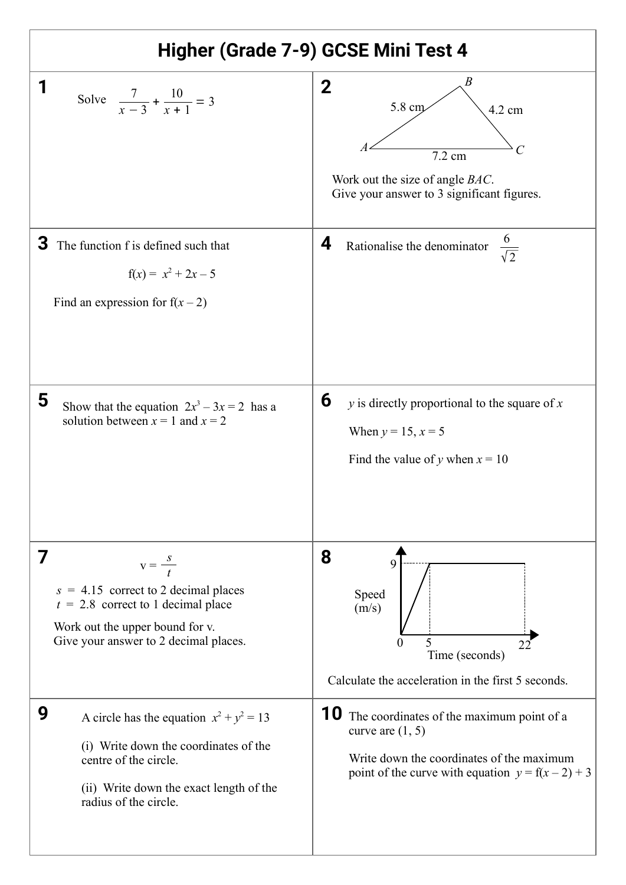| Higher (Grade 7-9) GCSE Mini Test 4                                                                                                                                                   |                                                                                                                                                                               |
|---------------------------------------------------------------------------------------------------------------------------------------------------------------------------------------|-------------------------------------------------------------------------------------------------------------------------------------------------------------------------------|
| Solve $\frac{7}{x-3} + \frac{10}{x+1} = 3$                                                                                                                                            | B<br>$\mathbf 2$<br>5.8 cm<br>4.2 cm<br>7.2 cm<br>Work out the size of angle BAC.<br>Give your answer to 3 significant figures.                                               |
| З<br>The function f is defined such that<br>$f(x) = x^2 + 2x - 5$<br>Find an expression for $f(x-2)$                                                                                  | $rac{6}{\sqrt{2}}$<br>4<br>Rationalise the denominator                                                                                                                        |
| 5<br>Show that the equation $2x^3 - 3x = 2$ has a<br>solution between $x = 1$ and $x = 2$                                                                                             | 6<br>$y$ is directly proportional to the square of $x$<br>When $y = 15$ , $x = 5$<br>Find the value of y when $x = 10$                                                        |
| $V = \frac{S}{t}$<br>$s = 4.15$ correct to 2 decimal places<br>$t = 2.8$ correct to 1 decimal place<br>Work out the upper bound for v.<br>Give your answer to 2 decimal places.       | 8<br>Speed<br>(m/s)<br>5<br>0<br>22<br>Time (seconds)<br>Calculate the acceleration in the first 5 seconds.                                                                   |
| 9<br>A circle has the equation $x^2 + y^2 = 13$<br>(i) Write down the coordinates of the<br>centre of the circle.<br>(ii) Write down the exact length of the<br>radius of the circle. | <b>10</b> The coordinates of the maximum point of a<br>curve are $(1, 5)$<br>Write down the coordinates of the maximum<br>point of the curve with equation $y = f(x - 2) + 3$ |